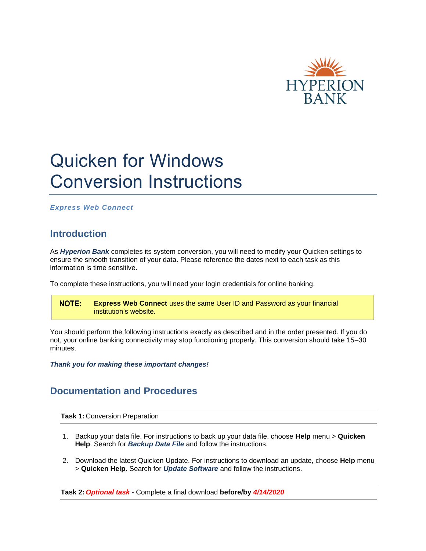

## Quicken for Windows Conversion Instructions

*Express Web Connect*

## **Introduction**

As *Hyperion Bank* completes its system conversion, you will need to modify your Quicken settings to ensure the smooth transition of your data. Please reference the dates next to each task as this information is time sensitive.

To complete these instructions, you will need your login credentials for online banking.

**NOTE: Express Web Connect** uses the same User ID and Password as your financial institution's website.

You should perform the following instructions exactly as described and in the order presented. If you do not, your online banking connectivity may stop functioning properly. This conversion should take 15–30 minutes.

*Thank you for making these important changes!*

## **Documentation and Procedures**

**Task 1:** Conversion Preparation

- 1. Backup your data file. For instructions to back up your data file, choose **Help** menu > **Quicken Help**. Search for *Backup Data File* and follow the instructions.
- 2. Download the latest Quicken Update. For instructions to download an update, choose **Help** menu > **Quicken Help**. Search for *Update Software* and follow the instructions.

**Task 2:** *Optional task* - Complete a final download **before/by** *4/14/2020*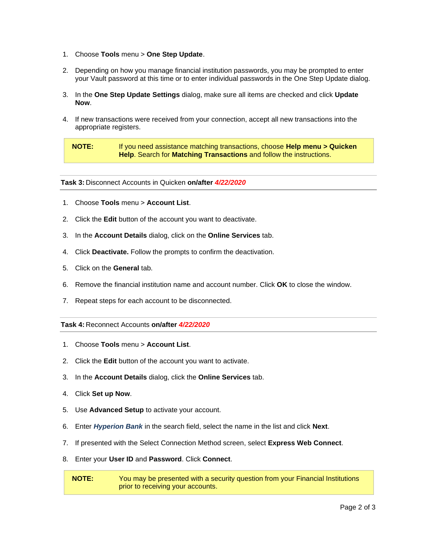- 1. Choose **Tools** menu > **One Step Update**.
- 2. Depending on how you manage financial institution passwords, you may be prompted to enter your Vault password at this time or to enter individual passwords in the One Step Update dialog.
- 3. In the **One Step Update Settings** dialog, make sure all items are checked and click **Update Now**.
- 4. If new transactions were received from your connection, accept all new transactions into the appropriate registers.

**NOTE:** If you need assistance matching transactions, choose **Help menu > Quicken Help**. Search for **Matching Transactions** and follow the instructions.

**Task 3:** Disconnect Accounts in Quicken **on/after** *4/22/2020*

- 1. Choose **Tools** menu > **Account List**.
- 2. Click the **Edit** button of the account you want to deactivate.
- 3. In the **Account Details** dialog, click on the **Online Services** tab.
- 4. Click **Deactivate.** Follow the prompts to confirm the deactivation.
- 5. Click on the **General** tab.
- 6. Remove the financial institution name and account number. Click **OK** to close the window.
- 7. Repeat steps for each account to be disconnected.

**Task 4:** Reconnect Accounts **on/after** *4/22/2020*

- 1. Choose **Tools** menu > **Account List**.
- 2. Click the **Edit** button of the account you want to activate.
- 3. In the **Account Details** dialog, click the **Online Services** tab.
- 4. Click **Set up Now**.
- 5. Use **Advanced Setup** to activate your account.
- 6. Enter *Hyperion Bank* in the search field, select the name in the list and click **Next**.
- 7. If presented with the Select Connection Method screen, select **Express Web Connect**.
- 8. Enter your **User ID** and **Password**. Click **Connect**.

**NOTE:** You may be presented with a security question from your Financial Institutions prior to receiving your accounts.